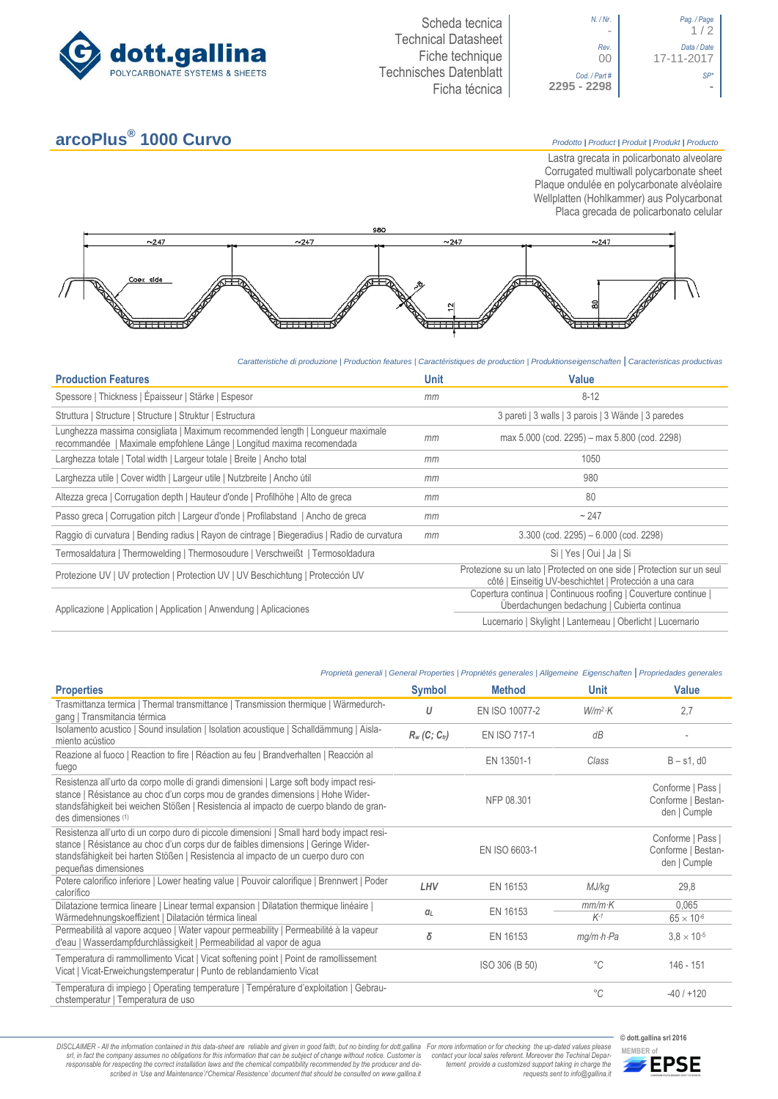



## **arcoPlus®**

**1000 Curvo** *Prodotto <sup>|</sup> Product <sup>|</sup> Produit <sup>|</sup> Produkt <sup>|</sup> Producto*

Lastra grecata in policarbonato alveolare Corrugated multiwall polycarbonate sheet Plaque ondulée en polycarbonate alvéolaire Wellplatten (Hohlkammer) aus Polycarbonat Placa grecada de policarbonato celular



*Caratteristiche di produzione | Production features | Caractéristiques de production | Produktionseigenschaften* **|** *Caracteristicas productivas*

| <b>Production Features</b>                                                                                                                              | <b>Unit</b> | Value                                                                                                                             |
|---------------------------------------------------------------------------------------------------------------------------------------------------------|-------------|-----------------------------------------------------------------------------------------------------------------------------------|
| Spessore   Thickness   Épaisseur   Stärke   Espesor                                                                                                     | mm          | $8 - 12$                                                                                                                          |
| Struttura   Structure   Structure   Struktur   Estructura                                                                                               |             | 3 pareti   3 walls   3 parois   3 Wände   3 paredes                                                                               |
| Lunghezza massima consigliata   Maximum recommended length   Longueur maximale<br>recommandée   Maximale empfohlene Länge   Longitud maxima recomendada | mm          | max 5.000 (cod. 2295) – max 5.800 (cod. 2298)                                                                                     |
| Larghezza totale   Total width   Largeur totale   Breite   Ancho total                                                                                  | mm          | 1050                                                                                                                              |
| Larghezza utile   Cover width   Largeur utile   Nutzbreite   Ancho útil                                                                                 | mm          | 980                                                                                                                               |
| Altezza greca   Corrugation depth   Hauteur d'onde   Profilhöhe   Alto de greca                                                                         | mm          | 80                                                                                                                                |
| Passo greca   Corrugation pitch   Largeur d'onde   Profilabstand   Ancho de greca                                                                       | mm          | ~247                                                                                                                              |
| Raggio di curvatura   Bending radius   Rayon de cintrage   Biegeradius   Radio de curvatura                                                             | mm          | $3.300$ (cod. 2295) $-6.000$ (cod. 2298)                                                                                          |
| Termosaldatura   Thermowelding   Thermosoudure   Verschweißt   Termosoldadura                                                                           |             | Si   Yes   Oui   Ja   Si                                                                                                          |
| Protezione UV   UV protection   Protection UV   UV Beschichtung   Protección UV                                                                         |             | Protezione su un lato   Protected on one side   Protection sur un seul<br>côté   Einseitig UV-beschichtet   Protección a una cara |
| Applicazione   Application   Application   Anwendung   Aplicaciones                                                                                     |             | Copertura continua   Continuous roofing   Couverture continue  <br>Überdachungen bedachung   Cubierta continua                    |
|                                                                                                                                                         |             | Lucernario   Skylight   Lanterneau   Oberlicht   Lucernario                                                                       |

## *Proprietà generali | General Properties | Propriétés generales | Allgemeine Eigenschaften* **|** *Propriedades generales*

| <b>Properties</b>                                                                                                                                                                                                                                                                          | <b>Symbol</b>               | <b>Method</b>       | <b>Unit</b>             | <b>Value</b>                                            |
|--------------------------------------------------------------------------------------------------------------------------------------------------------------------------------------------------------------------------------------------------------------------------------------------|-----------------------------|---------------------|-------------------------|---------------------------------------------------------|
| Trasmittanza termica   Thermal transmittance   Transmission thermique   Wärmedurch-<br>gang   Transmitancia térmica                                                                                                                                                                        | U                           | EN ISO 10077-2      | $W/m^2$ K               | 2,7                                                     |
| Isolamento acustico   Sound insulation   Isolation acoustique   Schalldämmung   Aisla-<br>miento acústico                                                                                                                                                                                  | $R_w$ (C; C <sub>tr</sub> ) | <b>EN ISO 717-1</b> | dB                      |                                                         |
| Reazione al fuoco   Reaction to fire   Réaction au feu   Brandverhalten   Reacción al<br>fuego                                                                                                                                                                                             |                             | EN 13501-1          | Class                   | $B - s1$ , d $0$                                        |
| Resistenza all'urto da corpo molle di grandi dimensioni   Large soft body impact resi-<br>stance   Résistance au choc d'un corps mou de grandes dimensions   Hohe Wider-<br>standsfähigkeit bei weichen Stößen   Resistencia al impacto de cuerpo blando de gran-<br>des dimensiones (1)   |                             | NFP 08.301          |                         | Conforme   Pass  <br>Conforme   Bestan-<br>den   Cumple |
| Resistenza all'urto di un corpo duro di piccole dimensioni   Small hard body impact resi-<br>stance   Résistance au choc d'un corps dur de faibles dimensions   Geringe Wider-<br>standsfähigkeit bei harten Stößen   Resistencia al impacto de un cuerpo duro con<br>pequeñas dimensiones |                             | EN ISO 6603-1       |                         | Conforme   Pass  <br>Conforme   Bestan-<br>den   Cumple |
| Potere calorifico inferiore   Lower heating value   Pouvoir calorifique   Brennwert   Poder<br>calorífico                                                                                                                                                                                  | LHV                         | EN 16153            | MJ/kg                   | 29,8                                                    |
| Dilatazione termica lineare   Linear termal expansion   Dilatation thermique linéaire  <br>Wärmedehnungskoeffizient   Dilatación térmica lineal                                                                                                                                            | $\alpha_L$                  | EN 16153            | $mm/m$ K<br>$K-1$       | 0,065<br>$65 \times 10^{-6}$                            |
| Permeabilità al vapore acqueo   Water vapour permeability   Permeabilité à la vapeur<br>d'eau   Wasserdampfdurchlässigkeit   Permeabilidad al vapor de agua                                                                                                                                | δ                           | EN 16153            | $mq/m \cdot h \cdot Pa$ | $3.8 \times 10^{-5}$                                    |
| Temperatura di rammollimento Vicat   Vicat softening point   Point de ramollissement<br>Vicat   Vicat-Erweichungstemperatur   Punto de reblandamiento Vicat                                                                                                                                |                             | ISO 306 (B 50)      | $^{\circ}C$             | 146 - 151                                               |
| Temperatura di impiego   Operating temperature   Température d'exploitation   Gebrau-<br>chstemperatur   Temperatura de uso                                                                                                                                                                |                             |                     | $^{\circ}C$             | $-40/+120$                                              |

DISCLAIMER - All the information contained in this data-sheet are reliable and given in good faith, but no binding for dott.gallina For more information or for checking the up-dated values please<br>-srl, in fact the company -responsable for respecting the correct installation laws and the chemical compatibility recommended by the producer and de-<br>scribed in 'Use and Maintenance'/'Chemical Resistence' document that should be consulted on www.g

*tement provide a customized support taking in charge the requests sent to info@gallina.it*

**© dott.gallina srl 2016**